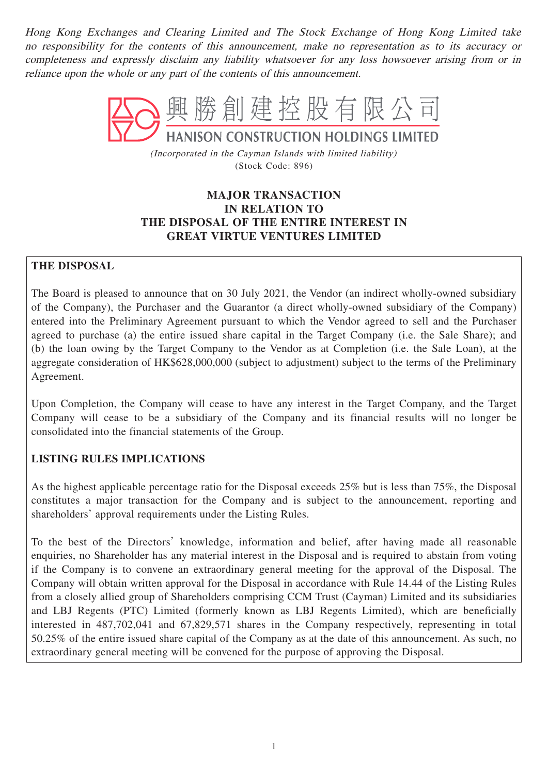Hong Kong Exchanges and Clearing Limited and The Stock Exchange of Hong Kong Limited take no responsibility for the contents of this announcement, make no representation as to its accuracy or completeness and expressly disclaim any liability whatsoever for any loss howsoever arising from or in reliance upon the whole or any part of the contents of this announcement.



(Incorporated in the Cayman Islands with limited liability) (Stock Code: 896)

# **MAJOR TRANSACTION IN RELATION TO THE DISPOSAL OF THE ENTIRE INTEREST IN GREAT VIRTUE VENTURES LIMITED**

# **THE DISPOSAL**

The Board is pleased to announce that on 30 July 2021, the Vendor (an indirect wholly-owned subsidiary of the Company), the Purchaser and the Guarantor (a direct wholly-owned subsidiary of the Company) entered into the Preliminary Agreement pursuant to which the Vendor agreed to sell and the Purchaser agreed to purchase (a) the entire issued share capital in the Target Company (i.e. the Sale Share); and (b) the loan owing by the Target Company to the Vendor as at Completion (i.e. the Sale Loan), at the aggregate consideration of HK\$628,000,000 (subject to adjustment) subject to the terms of the Preliminary Agreement.

Upon Completion, the Company will cease to have any interest in the Target Company, and the Target Company will cease to be a subsidiary of the Company and its financial results will no longer be consolidated into the financial statements of the Group.

# **LISTING RULES IMPLICATIONS**

As the highest applicable percentage ratio for the Disposal exceeds 25% but is less than 75%, the Disposal constitutes a major transaction for the Company and is subject to the announcement, reporting and shareholders' approval requirements under the Listing Rules.

To the best of the Directors' knowledge, information and belief, after having made all reasonable enquiries, no Shareholder has any material interest in the Disposal and is required to abstain from voting if the Company is to convene an extraordinary general meeting for the approval of the Disposal. The Company will obtain written approval for the Disposal in accordance with Rule 14.44 of the Listing Rules from a closely allied group of Shareholders comprising CCM Trust (Cayman) Limited and its subsidiaries and LBJ Regents (PTC) Limited (formerly known as LBJ Regents Limited), which are beneficially interested in 487,702,041 and 67,829,571 shares in the Company respectively, representing in total 50.25% of the entire issued share capital of the Company as at the date of this announcement. As such, no extraordinary general meeting will be convened for the purpose of approving the Disposal.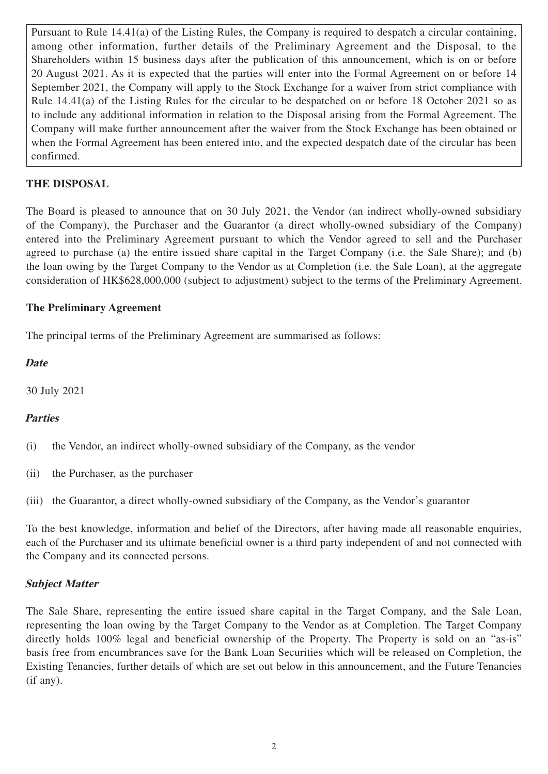Pursuant to Rule 14.41(a) of the Listing Rules, the Company is required to despatch a circular containing, among other information, further details of the Preliminary Agreement and the Disposal, to the Shareholders within 15 business days after the publication of this announcement, which is on or before 20 August 2021. As it is expected that the parties will enter into the Formal Agreement on or before 14 September 2021, the Company will apply to the Stock Exchange for a waiver from strict compliance with Rule 14.41(a) of the Listing Rules for the circular to be despatched on or before 18 October 2021 so as to include any additional information in relation to the Disposal arising from the Formal Agreement. The Company will make further announcement after the waiver from the Stock Exchange has been obtained or when the Formal Agreement has been entered into, and the expected despatch date of the circular has been confirmed.

# **THE DISPOSAL**

The Board is pleased to announce that on 30 July 2021, the Vendor (an indirect wholly-owned subsidiary of the Company), the Purchaser and the Guarantor (a direct wholly-owned subsidiary of the Company) entered into the Preliminary Agreement pursuant to which the Vendor agreed to sell and the Purchaser agreed to purchase (a) the entire issued share capital in the Target Company (i.e. the Sale Share); and (b) the loan owing by the Target Company to the Vendor as at Completion (i.e. the Sale Loan), at the aggregate consideration of HK\$628,000,000 (subject to adjustment) subject to the terms of the Preliminary Agreement.

#### **The Preliminary Agreement**

The principal terms of the Preliminary Agreement are summarised as follows:

#### **Date**

30 July 2021

## **Parties**

(i) the Vendor, an indirect wholly-owned subsidiary of the Company, as the vendor

(ii) the Purchaser, as the purchaser

(iii) the Guarantor, a direct wholly-owned subsidiary of the Company, as the Vendor's guarantor

To the best knowledge, information and belief of the Directors, after having made all reasonable enquiries, each of the Purchaser and its ultimate beneficial owner is a third party independent of and not connected with the Company and its connected persons.

## **Subject Matter**

The Sale Share, representing the entire issued share capital in the Target Company, and the Sale Loan, representing the loan owing by the Target Company to the Vendor as at Completion. The Target Company directly holds 100% legal and beneficial ownership of the Property. The Property is sold on an "as-is" basis free from encumbrances save for the Bank Loan Securities which will be released on Completion, the Existing Tenancies, further details of which are set out below in this announcement, and the Future Tenancies (if any).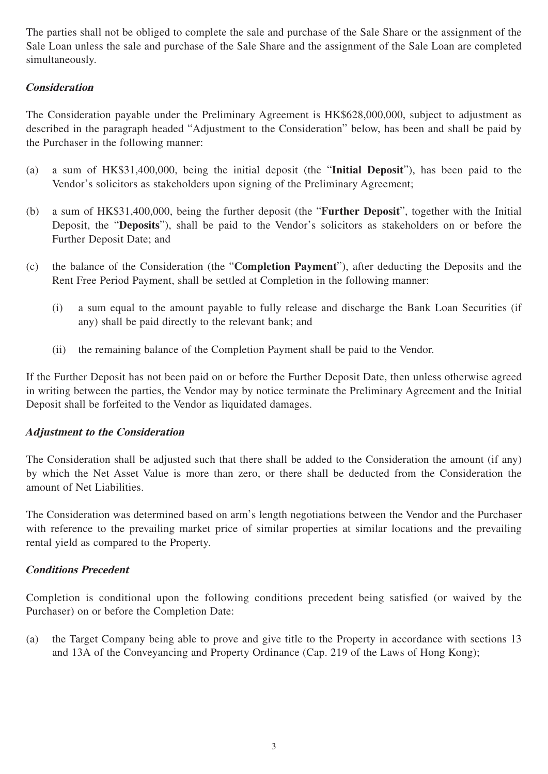The parties shall not be obliged to complete the sale and purchase of the Sale Share or the assignment of the Sale Loan unless the sale and purchase of the Sale Share and the assignment of the Sale Loan are completed simultaneously.

# **Consideration**

The Consideration payable under the Preliminary Agreement is HK\$628,000,000, subject to adjustment as described in the paragraph headed "Adjustment to the Consideration" below, has been and shall be paid by the Purchaser in the following manner:

- (a) a sum of HK\$31,400,000, being the initial deposit (the "**Initial Deposit**"), has been paid to the Vendor's solicitors as stakeholders upon signing of the Preliminary Agreement;
- (b) a sum of HK\$31,400,000, being the further deposit (the "**Further Deposit**", together with the Initial Deposit, the "**Deposits**"), shall be paid to the Vendor's solicitors as stakeholders on or before the Further Deposit Date; and
- (c) the balance of the Consideration (the "**Completion Payment**"), after deducting the Deposits and the Rent Free Period Payment, shall be settled at Completion in the following manner:
	- (i) a sum equal to the amount payable to fully release and discharge the Bank Loan Securities (if any) shall be paid directly to the relevant bank; and
	- (ii) the remaining balance of the Completion Payment shall be paid to the Vendor.

If the Further Deposit has not been paid on or before the Further Deposit Date, then unless otherwise agreed in writing between the parties, the Vendor may by notice terminate the Preliminary Agreement and the Initial Deposit shall be forfeited to the Vendor as liquidated damages.

## **Adjustment to the Consideration**

The Consideration shall be adjusted such that there shall be added to the Consideration the amount (if any) by which the Net Asset Value is more than zero, or there shall be deducted from the Consideration the amount of Net Liabilities.

The Consideration was determined based on arm's length negotiations between the Vendor and the Purchaser with reference to the prevailing market price of similar properties at similar locations and the prevailing rental yield as compared to the Property.

## **Conditions Precedent**

Completion is conditional upon the following conditions precedent being satisfied (or waived by the Purchaser) on or before the Completion Date:

(a) the Target Company being able to prove and give title to the Property in accordance with sections 13 and 13A of the Conveyancing and Property Ordinance (Cap. 219 of the Laws of Hong Kong);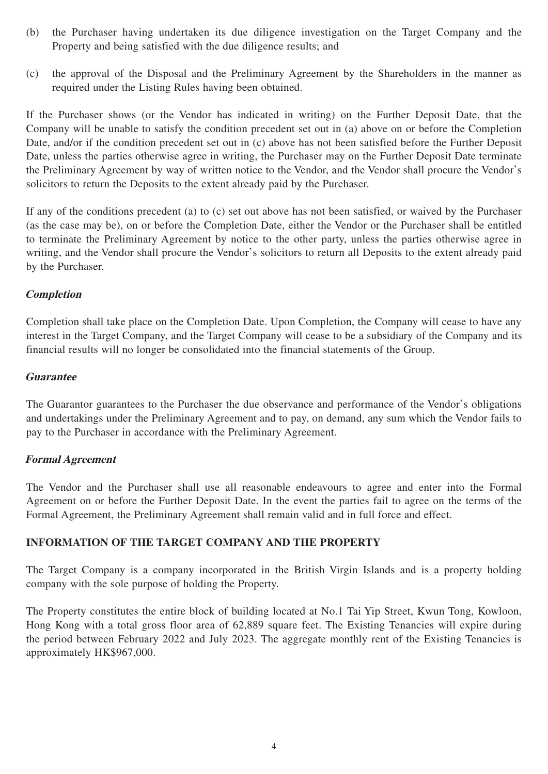- (b) the Purchaser having undertaken its due diligence investigation on the Target Company and the Property and being satisfied with the due diligence results; and
- (c) the approval of the Disposal and the Preliminary Agreement by the Shareholders in the manner as required under the Listing Rules having been obtained.

If the Purchaser shows (or the Vendor has indicated in writing) on the Further Deposit Date, that the Company will be unable to satisfy the condition precedent set out in (a) above on or before the Completion Date, and/or if the condition precedent set out in (c) above has not been satisfied before the Further Deposit Date, unless the parties otherwise agree in writing, the Purchaser may on the Further Deposit Date terminate the Preliminary Agreement by way of written notice to the Vendor, and the Vendor shall procure the Vendor's solicitors to return the Deposits to the extent already paid by the Purchaser.

If any of the conditions precedent (a) to (c) set out above has not been satisfied, or waived by the Purchaser (as the case may be), on or before the Completion Date, either the Vendor or the Purchaser shall be entitled to terminate the Preliminary Agreement by notice to the other party, unless the parties otherwise agree in writing, and the Vendor shall procure the Vendor's solicitors to return all Deposits to the extent already paid by the Purchaser.

## **Completion**

Completion shall take place on the Completion Date. Upon Completion, the Company will cease to have any interest in the Target Company, and the Target Company will cease to be a subsidiary of the Company and its financial results will no longer be consolidated into the financial statements of the Group.

# **Guarantee**

The Guarantor guarantees to the Purchaser the due observance and performance of the Vendor's obligations and undertakings under the Preliminary Agreement and to pay, on demand, any sum which the Vendor fails to pay to the Purchaser in accordance with the Preliminary Agreement.

# **Formal Agreement**

The Vendor and the Purchaser shall use all reasonable endeavours to agree and enter into the Formal Agreement on or before the Further Deposit Date. In the event the parties fail to agree on the terms of the Formal Agreement, the Preliminary Agreement shall remain valid and in full force and effect.

# **INFORMATION OF THE TARGET COMPANY AND THE PROPERTY**

The Target Company is a company incorporated in the British Virgin Islands and is a property holding company with the sole purpose of holding the Property.

The Property constitutes the entire block of building located at No.1 Tai Yip Street, Kwun Tong, Kowloon, Hong Kong with a total gross floor area of 62,889 square feet. The Existing Tenancies will expire during the period between February 2022 and July 2023. The aggregate monthly rent of the Existing Tenancies is approximately HK\$967,000.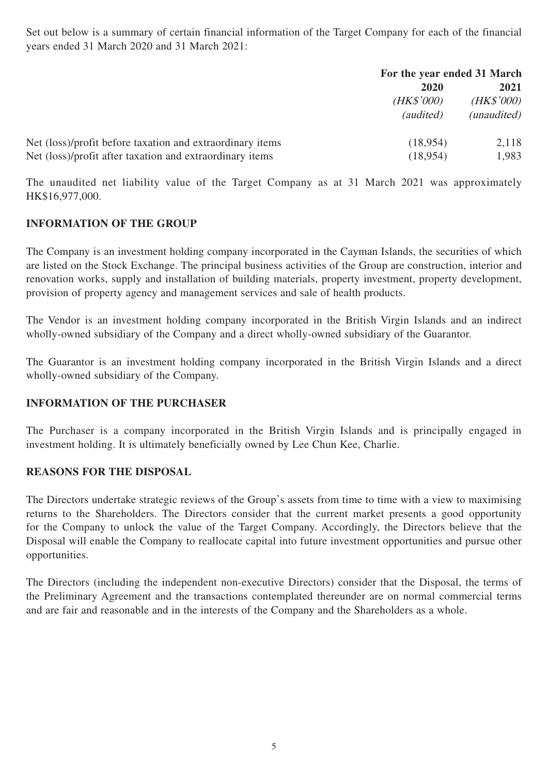Set out below is a summary of certain financial information of the Target Company for each of the financial years ended 31 March 2020 and 31 March 2021:

|                                                           | For the year ended 31 March              |                                   |
|-----------------------------------------------------------|------------------------------------------|-----------------------------------|
|                                                           | 2020<br>( <i>HK\$'000</i> )<br>(audited) | 2021<br>(HK\$'000)<br>(unaudited) |
| Net (loss)/profit before taxation and extraordinary items | (18,954)                                 | 2,118                             |
| Net (loss)/profit after taxation and extraordinary items  | (18,954)                                 | 1,983                             |

The unaudited net liability value of the Target Company as at 31 March 2021 was approximately HK\$16,977,000.

# **INFORMATION OF THE GROUP**

The Company is an investment holding company incorporated in the Cayman Islands, the securities of which are listed on the Stock Exchange. The principal business activities of the Group are construction, interior and renovation works, supply and installation of building materials, property investment, property development, provision of property agency and management services and sale of health products.

The Vendor is an investment holding company incorporated in the British Virgin Islands and an indirect wholly-owned subsidiary of the Company and a direct wholly-owned subsidiary of the Guarantor.

The Guarantor is an investment holding company incorporated in the British Virgin Islands and a direct wholly-owned subsidiary of the Company.

## **INFORMATION OF THE PURCHASER**

The Purchaser is a company incorporated in the British Virgin Islands and is principally engaged in investment holding. It is ultimately beneficially owned by Lee Chun Kee, Charlie.

# **REASONS FOR THE DISPOSAL**

The Directors undertake strategic reviews of the Group's assets from time to time with a view to maximising returns to the Shareholders. The Directors consider that the current market presents a good opportunity for the Company to unlock the value of the Target Company. Accordingly, the Directors believe that the Disposal will enable the Company to reallocate capital into future investment opportunities and pursue other opportunities.

The Directors (including the independent non-executive Directors) consider that the Disposal, the terms of the Preliminary Agreement and the transactions contemplated thereunder are on normal commercial terms and are fair and reasonable and in the interests of the Company and the Shareholders as a whole.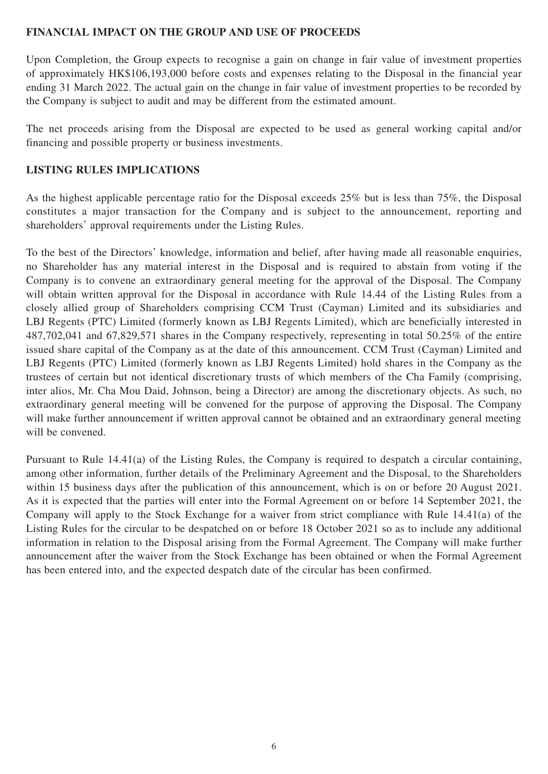## **FINANCIAL IMPACT ON THE GROUP AND USE OF PROCEEDS**

Upon Completion, the Group expects to recognise a gain on change in fair value of investment properties of approximately HK\$106,193,000 before costs and expenses relating to the Disposal in the financial year ending 31 March 2022. The actual gain on the change in fair value of investment properties to be recorded by the Company is subject to audit and may be different from the estimated amount.

The net proceeds arising from the Disposal are expected to be used as general working capital and/or financing and possible property or business investments.

## **LISTING RULES IMPLICATIONS**

As the highest applicable percentage ratio for the Disposal exceeds 25% but is less than 75%, the Disposal constitutes a major transaction for the Company and is subject to the announcement, reporting and shareholders' approval requirements under the Listing Rules.

To the best of the Directors' knowledge, information and belief, after having made all reasonable enquiries, no Shareholder has any material interest in the Disposal and is required to abstain from voting if the Company is to convene an extraordinary general meeting for the approval of the Disposal. The Company will obtain written approval for the Disposal in accordance with Rule 14.44 of the Listing Rules from a closely allied group of Shareholders comprising CCM Trust (Cayman) Limited and its subsidiaries and LBJ Regents (PTC) Limited (formerly known as LBJ Regents Limited), which are beneficially interested in 487,702,041 and 67,829,571 shares in the Company respectively, representing in total 50.25% of the entire issued share capital of the Company as at the date of this announcement. CCM Trust (Cayman) Limited and LBJ Regents (PTC) Limited (formerly known as LBJ Regents Limited) hold shares in the Company as the trustees of certain but not identical discretionary trusts of which members of the Cha Family (comprising, inter alios, Mr. Cha Mou Daid, Johnson, being a Director) are among the discretionary objects. As such, no extraordinary general meeting will be convened for the purpose of approving the Disposal. The Company will make further announcement if written approval cannot be obtained and an extraordinary general meeting will be convened.

Pursuant to Rule 14.41(a) of the Listing Rules, the Company is required to despatch a circular containing, among other information, further details of the Preliminary Agreement and the Disposal, to the Shareholders within 15 business days after the publication of this announcement, which is on or before 20 August 2021. As it is expected that the parties will enter into the Formal Agreement on or before 14 September 2021, the Company will apply to the Stock Exchange for a waiver from strict compliance with Rule 14.41(a) of the Listing Rules for the circular to be despatched on or before 18 October 2021 so as to include any additional information in relation to the Disposal arising from the Formal Agreement. The Company will make further announcement after the waiver from the Stock Exchange has been obtained or when the Formal Agreement has been entered into, and the expected despatch date of the circular has been confirmed.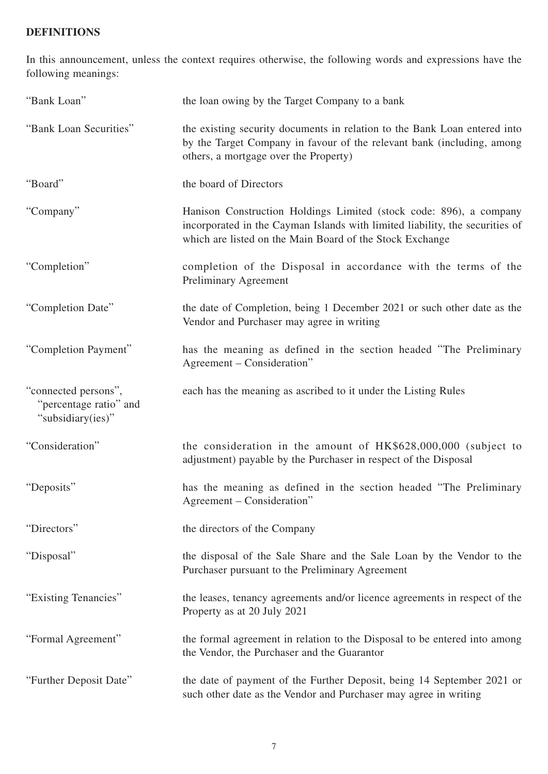## **DEFINITIONS**

In this announcement, unless the context requires otherwise, the following words and expressions have the following meanings:

| "Bank Loan"                                                         | the loan owing by the Target Company to a bank                                                                                                                                                                 |
|---------------------------------------------------------------------|----------------------------------------------------------------------------------------------------------------------------------------------------------------------------------------------------------------|
| "Bank Loan Securities"                                              | the existing security documents in relation to the Bank Loan entered into<br>by the Target Company in favour of the relevant bank (including, among<br>others, a mortgage over the Property)                   |
| "Board"                                                             | the board of Directors                                                                                                                                                                                         |
| "Company"                                                           | Hanison Construction Holdings Limited (stock code: 896), a company<br>incorporated in the Cayman Islands with limited liability, the securities of<br>which are listed on the Main Board of the Stock Exchange |
| "Completion"                                                        | completion of the Disposal in accordance with the terms of the<br><b>Preliminary Agreement</b>                                                                                                                 |
| "Completion Date"                                                   | the date of Completion, being 1 December 2021 or such other date as the<br>Vendor and Purchaser may agree in writing                                                                                           |
| "Completion Payment"                                                | has the meaning as defined in the section headed "The Preliminary<br>Agreement – Consideration"                                                                                                                |
| "connected persons",<br>"percentage ratio" and<br>"subsidiary(ies)" | each has the meaning as ascribed to it under the Listing Rules                                                                                                                                                 |
| "Consideration"                                                     | the consideration in the amount of HK\$628,000,000 (subject to<br>adjustment) payable by the Purchaser in respect of the Disposal                                                                              |
| "Deposits"                                                          | has the meaning as defined in the section headed "The Preliminary<br>Agreement – Consideration"                                                                                                                |
| "Directors"                                                         | the directors of the Company                                                                                                                                                                                   |
| "Disposal"                                                          | the disposal of the Sale Share and the Sale Loan by the Vendor to the<br>Purchaser pursuant to the Preliminary Agreement                                                                                       |
| "Existing Tenancies"                                                | the leases, tenancy agreements and/or licence agreements in respect of the<br>Property as at 20 July 2021                                                                                                      |
| "Formal Agreement"                                                  | the formal agreement in relation to the Disposal to be entered into among<br>the Vendor, the Purchaser and the Guarantor                                                                                       |
| "Further Deposit Date"                                              | the date of payment of the Further Deposit, being 14 September 2021 or<br>such other date as the Vendor and Purchaser may agree in writing                                                                     |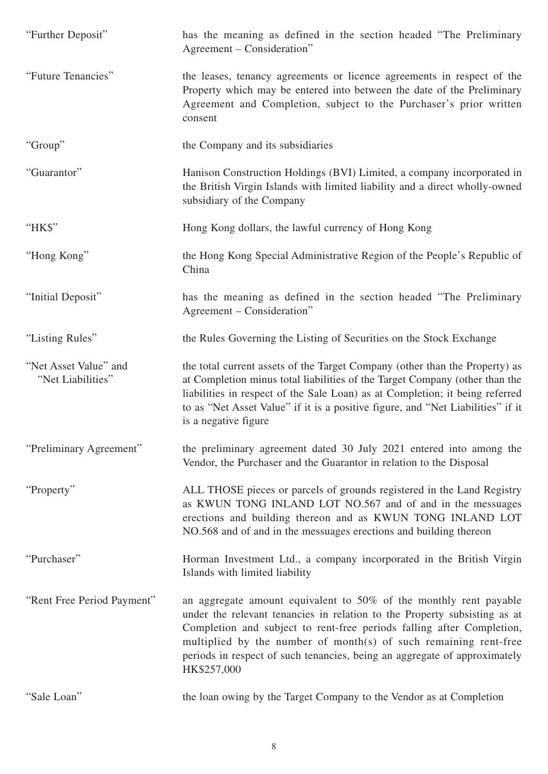| "Further Deposit"                          | has the meaning as defined in the section headed "The Preliminary<br>Agreement – Consideration"                                                                                                                                                                                                                                                                                         |
|--------------------------------------------|-----------------------------------------------------------------------------------------------------------------------------------------------------------------------------------------------------------------------------------------------------------------------------------------------------------------------------------------------------------------------------------------|
| "Future Tenancies"                         | the leases, tenancy agreements or licence agreements in respect of the<br>Property which may be entered into between the date of the Preliminary<br>Agreement and Completion, subject to the Purchaser's prior written<br>consent                                                                                                                                                       |
| "Group"                                    | the Company and its subsidiaries                                                                                                                                                                                                                                                                                                                                                        |
| "Guarantor"                                | Hanison Construction Holdings (BVI) Limited, a company incorporated in<br>the British Virgin Islands with limited liability and a direct wholly-owned<br>subsidiary of the Company                                                                                                                                                                                                      |
| "HK\$"                                     | Hong Kong dollars, the lawful currency of Hong Kong                                                                                                                                                                                                                                                                                                                                     |
| "Hong Kong"                                | the Hong Kong Special Administrative Region of the People's Republic of<br>China                                                                                                                                                                                                                                                                                                        |
| "Initial Deposit"                          | has the meaning as defined in the section headed "The Preliminary<br>Agreement – Consideration"                                                                                                                                                                                                                                                                                         |
| "Listing Rules"                            | the Rules Governing the Listing of Securities on the Stock Exchange                                                                                                                                                                                                                                                                                                                     |
| "Net Asset Value" and<br>"Net Liabilities" | the total current assets of the Target Company (other than the Property) as<br>at Completion minus total liabilities of the Target Company (other than the<br>liabilities in respect of the Sale Loan) as at Completion; it being referred<br>to as "Net Asset Value" if it is a positive figure, and "Net Liabilities" if it<br>is a negative figure                                   |
| "Preliminary Agreement"                    | the preliminary agreement dated 30 July 2021 entered into among the<br>Vendor, the Purchaser and the Guarantor in relation to the Disposal                                                                                                                                                                                                                                              |
| "Property"                                 | ALL THOSE pieces or parcels of grounds registered in the Land Registry<br>as KWUN TONG INLAND LOT NO.567 and of and in the messuages<br>erections and building thereon and as KWUN TONG INLAND LOT<br>NO.568 and of and in the messuages erections and building thereon                                                                                                                 |
| "Purchaser"                                | Horman Investment Ltd., a company incorporated in the British Virgin<br>Islands with limited liability                                                                                                                                                                                                                                                                                  |
| "Rent Free Period Payment"                 | an aggregate amount equivalent to 50% of the monthly rent payable<br>under the relevant tenancies in relation to the Property subsisting as at<br>Completion and subject to rent-free periods falling after Completion,<br>multiplied by the number of month(s) of such remaining rent-free<br>periods in respect of such tenancies, being an aggregate of approximately<br>HK\$257,000 |
| "Sale Loan"                                | the loan owing by the Target Company to the Vendor as at Completion                                                                                                                                                                                                                                                                                                                     |